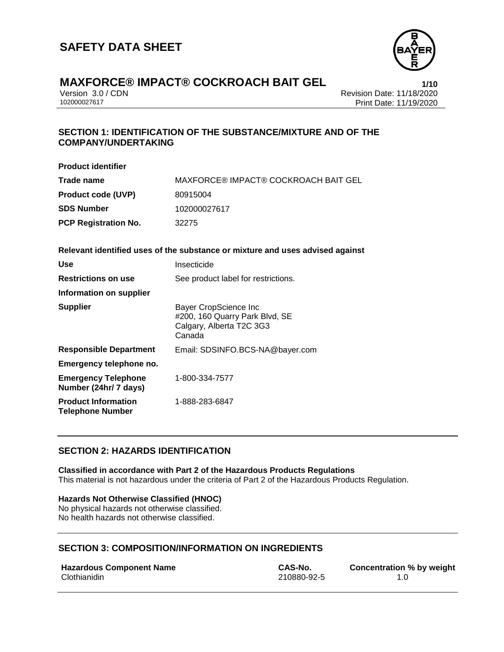

Version 3.0 / CDN<br>102000027617<br>Print Date: 11/19/2020 Print Date: 11/19/2020

#### **SECTION 1: IDENTIFICATION OF THE SUBSTANCE/MIXTURE AND OF THE COMPANY/UNDERTAKING**

| <b>Product identifier</b>                             |                                                                                               |
|-------------------------------------------------------|-----------------------------------------------------------------------------------------------|
| Trade name                                            | MAXFORCE® IMPACT® COCKROACH BAIT GEL                                                          |
| <b>Product code (UVP)</b>                             | 80915004                                                                                      |
| <b>SDS Number</b>                                     | 102000027617                                                                                  |
| <b>PCP Registration No.</b>                           | 32275                                                                                         |
|                                                       | Relevant identified uses of the substance or mixture and uses advised against                 |
| Use                                                   | Insecticide                                                                                   |
| <b>Restrictions on use</b>                            | See product label for restrictions.                                                           |
| Information on supplier                               |                                                                                               |
| <b>Supplier</b>                                       | Bayer CropScience Inc<br>#200, 160 Quarry Park Blvd, SE<br>Calgary, Alberta T2C 3G3<br>Canada |
| <b>Responsible Department</b>                         | Email: SDSINFO.BCS-NA@bayer.com                                                               |
| Emergency telephone no.                               |                                                                                               |
| <b>Emergency Telephone</b><br>Number (24hr/ 7 days)   | 1-800-334-7577                                                                                |
| <b>Product Information</b><br><b>Telephone Number</b> | 1-888-283-6847                                                                                |

#### **SECTION 2: HAZARDS IDENTIFICATION**

**Classified in accordance with Part 2 of the Hazardous Products Regulations** This material is not hazardous under the criteria of Part 2 of the Hazardous Products Regulation.

#### **Hazards Not Otherwise Classified (HNOC)**

No physical hazards not otherwise classified. No health hazards not otherwise classified.

#### **SECTION 3: COMPOSITION/INFORMATION ON INGREDIENTS**

| <b>Hazardous Component Name</b> | CAS-No.     | Concentration % by weight |
|---------------------------------|-------------|---------------------------|
| Clothianidin                    | 210880-92-5 |                           |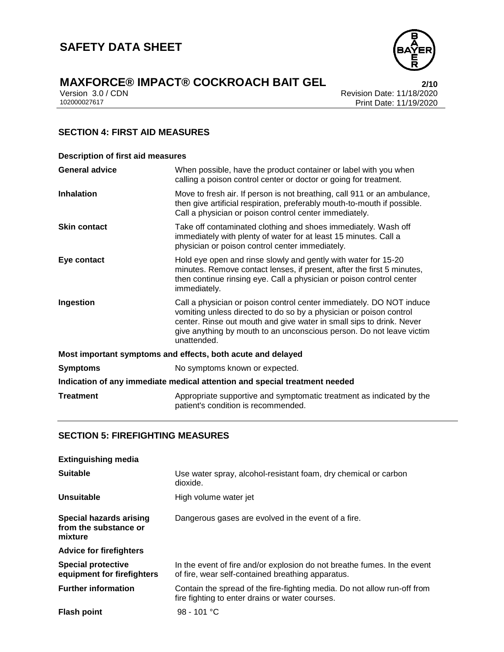

Version 3.0 / CDN<br>102000027617<br>Print Date: 11/19/2020 Print Date: 11/19/2020

#### **SECTION 4: FIRST AID MEASURES**

| <b>Description of first aid measures</b>                                   |                                                                                                                                                                                                                                                                                                           |  |  |
|----------------------------------------------------------------------------|-----------------------------------------------------------------------------------------------------------------------------------------------------------------------------------------------------------------------------------------------------------------------------------------------------------|--|--|
| <b>General advice</b>                                                      | When possible, have the product container or label with you when<br>calling a poison control center or doctor or going for treatment.                                                                                                                                                                     |  |  |
| <b>Inhalation</b>                                                          | Move to fresh air. If person is not breathing, call 911 or an ambulance,<br>then give artificial respiration, preferably mouth-to-mouth if possible.<br>Call a physician or poison control center immediately.                                                                                            |  |  |
| <b>Skin contact</b>                                                        | Take off contaminated clothing and shoes immediately. Wash off<br>immediately with plenty of water for at least 15 minutes. Call a<br>physician or poison control center immediately.                                                                                                                     |  |  |
| Eye contact                                                                | Hold eye open and rinse slowly and gently with water for 15-20<br>minutes. Remove contact lenses, if present, after the first 5 minutes,<br>then continue rinsing eye. Call a physician or poison control center<br>immediately.                                                                          |  |  |
| Ingestion                                                                  | Call a physician or poison control center immediately. DO NOT induce<br>vomiting unless directed to do so by a physician or poison control<br>center. Rinse out mouth and give water in small sips to drink. Never<br>give anything by mouth to an unconscious person. Do not leave victim<br>unattended. |  |  |
| Most important symptoms and effects, both acute and delayed                |                                                                                                                                                                                                                                                                                                           |  |  |
| <b>Symptoms</b>                                                            | No symptoms known or expected.                                                                                                                                                                                                                                                                            |  |  |
| Indication of any immediate medical attention and special treatment needed |                                                                                                                                                                                                                                                                                                           |  |  |
| <b>Treatment</b>                                                           | Appropriate supportive and symptomatic treatment as indicated by the<br>patient's condition is recommended.                                                                                                                                                                                               |  |  |

#### **SECTION 5: FIREFIGHTING MEASURES**

| <b>Extinguishing media</b>                                         |                                                                                                                               |  |
|--------------------------------------------------------------------|-------------------------------------------------------------------------------------------------------------------------------|--|
| <b>Suitable</b>                                                    | Use water spray, alcohol-resistant foam, dry chemical or carbon<br>dioxide.                                                   |  |
| Unsuitable                                                         | High volume water jet                                                                                                         |  |
| <b>Special hazards arising</b><br>from the substance or<br>mixture | Dangerous gases are evolved in the event of a fire.                                                                           |  |
| <b>Advice for firefighters</b>                                     |                                                                                                                               |  |
| <b>Special protective</b><br>equipment for firefighters            | In the event of fire and/or explosion do not breathe fumes. In the event<br>of fire, wear self-contained breathing apparatus. |  |
| <b>Further information</b>                                         | Contain the spread of the fire-fighting media. Do not allow run-off from<br>fire fighting to enter drains or water courses.   |  |
| <b>Flash point</b>                                                 | 98 - 101 °C                                                                                                                   |  |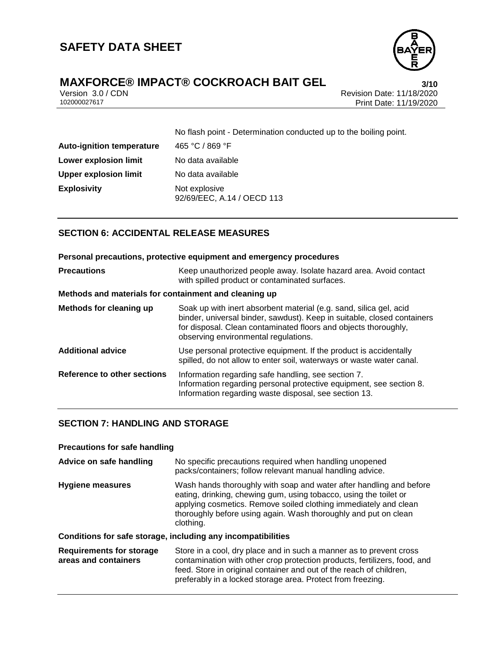

Version 3.0 / CDN<br>102000027617<br>Print Date: 11/19/2020 Print Date: 11/19/2020

| No flash point - Determination conducted up to the boiling point. |  |  |
|-------------------------------------------------------------------|--|--|
| 465 °C / 869 °F                                                   |  |  |
| No data available                                                 |  |  |
| No data available                                                 |  |  |
| Not explosive<br>92/69/EEC, A.14 / OECD 113                       |  |  |
|                                                                   |  |  |

#### **SECTION 6: ACCIDENTAL RELEASE MEASURES**

|                                                       | Personal precautions, protective equipment and emergency procedures                                                                                                                                                                                      |  |  |
|-------------------------------------------------------|----------------------------------------------------------------------------------------------------------------------------------------------------------------------------------------------------------------------------------------------------------|--|--|
| <b>Precautions</b>                                    | Keep unauthorized people away. Isolate hazard area. Avoid contact<br>with spilled product or contaminated surfaces.                                                                                                                                      |  |  |
| Methods and materials for containment and cleaning up |                                                                                                                                                                                                                                                          |  |  |
| Methods for cleaning up                               | Soak up with inert absorbent material (e.g. sand, silica gel, acid<br>binder, universal binder, sawdust). Keep in suitable, closed containers<br>for disposal. Clean contaminated floors and objects thoroughly,<br>observing environmental regulations. |  |  |
| <b>Additional advice</b>                              | Use personal protective equipment. If the product is accidentally<br>spilled, do not allow to enter soil, waterways or waste water canal.                                                                                                                |  |  |
| Reference to other sections                           | Information regarding safe handling, see section 7.<br>Information regarding personal protective equipment, see section 8.<br>Information regarding waste disposal, see section 13.                                                                      |  |  |

#### **SECTION 7: HANDLING AND STORAGE**

| <b>Precautions for safe handling</b>                         |                                                                                                                                                                                                                                                                                              |  |  |
|--------------------------------------------------------------|----------------------------------------------------------------------------------------------------------------------------------------------------------------------------------------------------------------------------------------------------------------------------------------------|--|--|
| Advice on safe handling                                      | No specific precautions required when handling unopened<br>packs/containers; follow relevant manual handling advice.                                                                                                                                                                         |  |  |
| Hygiene measures                                             | Wash hands thoroughly with soap and water after handling and before<br>eating, drinking, chewing gum, using tobacco, using the toilet or<br>applying cosmetics. Remove soiled clothing immediately and clean<br>thoroughly before using again. Wash thoroughly and put on clean<br>clothing. |  |  |
| Conditions for safe storage, including any incompatibilities |                                                                                                                                                                                                                                                                                              |  |  |
| <b>Requirements for storage</b><br>areas and containers      | Store in a cool, dry place and in such a manner as to prevent cross<br>contamination with other crop protection products, fertilizers, food, and<br>feed. Store in original container and out of the reach of children,<br>preferably in a locked storage area. Protect from freezing.       |  |  |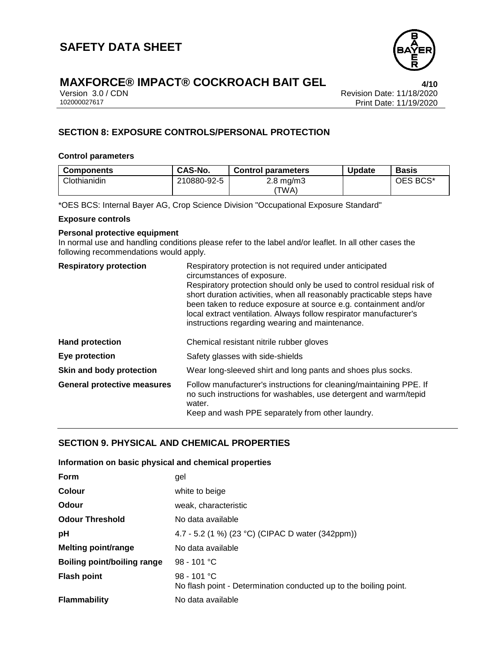

Version 3.0 / CDN<br>102000027617<br>Print Date: 11/19/2020 Print Date: 11/19/2020

### **SECTION 8: EXPOSURE CONTROLS/PERSONAL PROTECTION**

#### **Control parameters**

| CAS-No.     | <b>Control parameters</b> | <b>Update</b> | <b>Basis</b> |
|-------------|---------------------------|---------------|--------------|
| 210880-92-5 | $2.8 \text{ mg/m}$        |               | OES BCS*     |
|             |                           | 'TWA)         |              |

\*OES BCS: Internal Bayer AG, Crop Science Division "Occupational Exposure Standard"

#### **Exposure controls**

#### **Personal protective equipment**

In normal use and handling conditions please refer to the label and/or leaflet. In all other cases the following recommendations would apply.

| <b>Respiratory protection</b>      | Respiratory protection is not required under anticipated<br>circumstances of exposure.                                                                                                                                                                                                                                                      |  |  |
|------------------------------------|---------------------------------------------------------------------------------------------------------------------------------------------------------------------------------------------------------------------------------------------------------------------------------------------------------------------------------------------|--|--|
|                                    | Respiratory protection should only be used to control residual risk of<br>short duration activities, when all reasonably practicable steps have<br>been taken to reduce exposure at source e.g. containment and/or<br>local extract ventilation. Always follow respirator manufacturer's<br>instructions regarding wearing and maintenance. |  |  |
| <b>Hand protection</b>             | Chemical resistant nitrile rubber gloves                                                                                                                                                                                                                                                                                                    |  |  |
| Eye protection                     | Safety glasses with side-shields                                                                                                                                                                                                                                                                                                            |  |  |
| Skin and body protection           | Wear long-sleeved shirt and long pants and shoes plus socks.                                                                                                                                                                                                                                                                                |  |  |
| <b>General protective measures</b> | Follow manufacturer's instructions for cleaning/maintaining PPE. If<br>no such instructions for washables, use detergent and warm/tepid<br>water.<br>Keep and wash PPE separately from other laundry.                                                                                                                                       |  |  |

#### **SECTION 9. PHYSICAL AND CHEMICAL PROPERTIES**

#### **Information on basic physical and chemical properties**

| Form                               | gel                                                                              |  |  |
|------------------------------------|----------------------------------------------------------------------------------|--|--|
| Colour                             | white to beige                                                                   |  |  |
| Odour                              | weak, characteristic                                                             |  |  |
| <b>Odour Threshold</b>             | No data available                                                                |  |  |
| рH                                 | 4.7 - 5.2 (1 %) (23 °C) (CIPAC D water (342ppm))                                 |  |  |
| <b>Melting point/range</b>         | No data available                                                                |  |  |
| <b>Boiling point/boiling range</b> | 98 - 101 °C                                                                      |  |  |
| <b>Flash point</b>                 | 98 - 101 °C<br>No flash point - Determination conducted up to the boiling point. |  |  |
| <b>Flammability</b>                | No data available                                                                |  |  |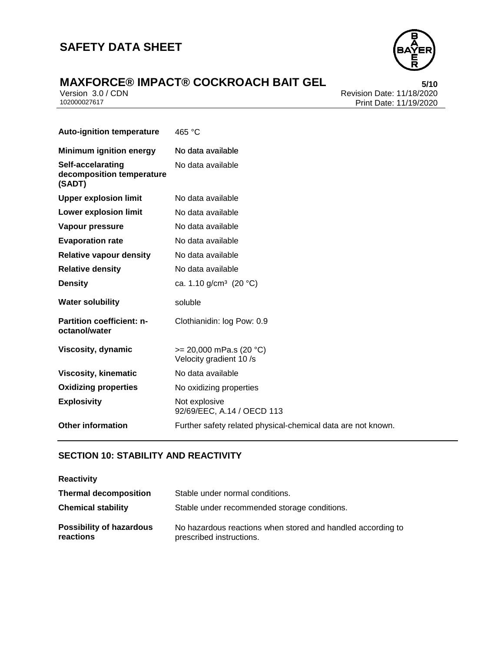### **SAFETY DATA SHEET**



# **MAXFORCE® IMPACT® COCKROACH BAIT GEL**<br>Version 3.0 / CDN<br>Revision Date: 11/18/2020

Version 3.0 / CDN<br>102000027617<br>Print Date: 11/19/2020 Print Date: 11/19/2020

| <b>Auto-ignition temperature</b>                         | 465 °C                                                       |  |  |
|----------------------------------------------------------|--------------------------------------------------------------|--|--|
| <b>Minimum ignition energy</b>                           | No data available                                            |  |  |
| Self-accelarating<br>decomposition temperature<br>(SADT) | No data available                                            |  |  |
| <b>Upper explosion limit</b>                             | No data available                                            |  |  |
| <b>Lower explosion limit</b>                             | No data available                                            |  |  |
| Vapour pressure                                          | No data available                                            |  |  |
| <b>Evaporation rate</b>                                  | No data available                                            |  |  |
| <b>Relative vapour density</b>                           | No data available                                            |  |  |
| <b>Relative density</b>                                  | No data available                                            |  |  |
| <b>Density</b>                                           | ca. 1.10 $g/cm^3$ (20 °C)                                    |  |  |
| <b>Water solubility</b>                                  | soluble                                                      |  |  |
| <b>Partition coefficient: n-</b><br>octanol/water        | Clothianidin: log Pow: 0.9                                   |  |  |
| Viscosity, dynamic                                       | $>= 20,000$ mPa.s (20 °C)<br>Velocity gradient 10/s          |  |  |
| <b>Viscosity, kinematic</b>                              | No data available                                            |  |  |
| <b>Oxidizing properties</b>                              | No oxidizing properties                                      |  |  |
| <b>Explosivity</b>                                       | Not explosive<br>92/69/EEC, A.14 / OECD 113                  |  |  |
| <b>Other information</b>                                 | Further safety related physical-chemical data are not known. |  |  |

#### **SECTION 10: STABILITY AND REACTIVITY**

| <b>Reactivity</b> |  |  |
|-------------------|--|--|
|                   |  |  |

| <b>Thermal decomposition</b>                 | Stable under normal conditions.                                                         |  |
|----------------------------------------------|-----------------------------------------------------------------------------------------|--|
| <b>Chemical stability</b>                    | Stable under recommended storage conditions.                                            |  |
| <b>Possibility of hazardous</b><br>reactions | No hazardous reactions when stored and handled according to<br>prescribed instructions. |  |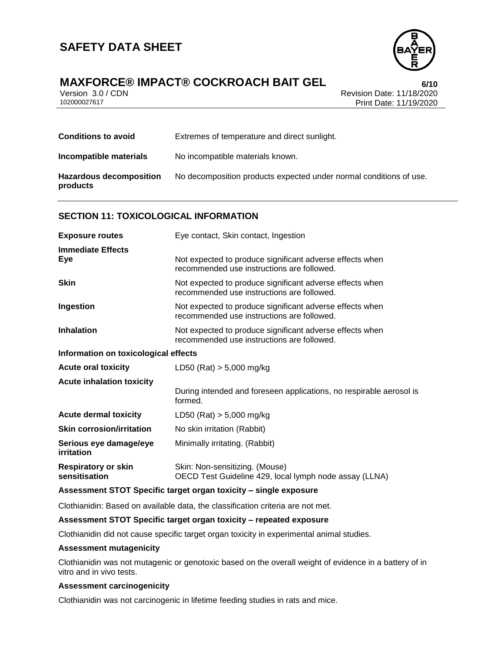

### **MAXFORCE® IMPACT® COCKROACH BAIT GEL 6/10**

Version 3.0 / CDN<br>102000027617<br>Print Date: 11/19/2020 Print Date: 11/19/2020

| <b>Conditions to avoid</b>                 | Extremes of temperature and direct sunlight.                       |  |
|--------------------------------------------|--------------------------------------------------------------------|--|
| Incompatible materials                     | No incompatible materials known.                                   |  |
| <b>Hazardous decomposition</b><br>products | No decomposition products expected under normal conditions of use. |  |

#### **SECTION 11: TOXICOLOGICAL INFORMATION**

| <b>Exposure routes</b>                      | Eye contact, Skin contact, Ingestion                                                                   |  |  |
|---------------------------------------------|--------------------------------------------------------------------------------------------------------|--|--|
| <b>Immediate Effects</b><br>Eye             | Not expected to produce significant adverse effects when<br>recommended use instructions are followed. |  |  |
| <b>Skin</b>                                 | Not expected to produce significant adverse effects when<br>recommended use instructions are followed. |  |  |
| Ingestion                                   | Not expected to produce significant adverse effects when<br>recommended use instructions are followed. |  |  |
| <b>Inhalation</b>                           | Not expected to produce significant adverse effects when<br>recommended use instructions are followed. |  |  |
| Information on toxicological effects        |                                                                                                        |  |  |
| <b>Acute oral toxicity</b>                  | LD50 (Rat) $> 5,000$ mg/kg                                                                             |  |  |
| <b>Acute inhalation toxicity</b>            | During intended and foreseen applications, no respirable aerosol is<br>formed.                         |  |  |
| <b>Acute dermal toxicity</b>                | LD50 (Rat) $> 5,000$ mg/kg                                                                             |  |  |
| <b>Skin corrosion/irritation</b>            | No skin irritation (Rabbit)                                                                            |  |  |
| Serious eye damage/eye<br>irritation        | Minimally irritating. (Rabbit)                                                                         |  |  |
| <b>Respiratory or skin</b><br>sensitisation | Skin: Non-sensitizing. (Mouse)<br>OECD Test Guideline 429, local lymph node assay (LLNA)               |  |  |

#### **Assessment STOT Specific target organ toxicity – single exposure**

Clothianidin: Based on available data, the classification criteria are not met.

#### **Assessment STOT Specific target organ toxicity – repeated exposure**

Clothianidin did not cause specific target organ toxicity in experimental animal studies.

#### **Assessment mutagenicity**

Clothianidin was not mutagenic or genotoxic based on the overall weight of evidence in a battery of in vitro and in vivo tests.

#### **Assessment carcinogenicity**

Clothianidin was not carcinogenic in lifetime feeding studies in rats and mice.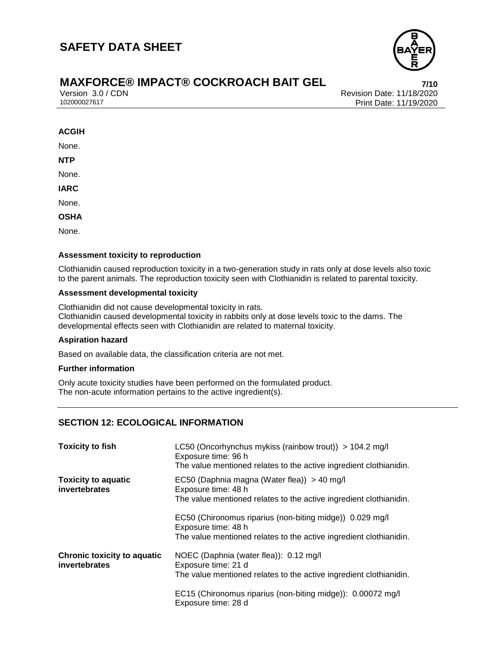

### **MAXFORCE® IMPACT® COCKROACH BAIT GEL 7/10**

Version 3.0 / CDN<br>102000027617<br>Print Date: 11/19/2020 Print Date: 11/19/2020

#### **ACGIH**

None.

**NTP**

None.

**IARC**

None.

**OSHA**

None.

#### **Assessment toxicity to reproduction**

Clothianidin caused reproduction toxicity in a two-generation study in rats only at dose levels also toxic to the parent animals. The reproduction toxicity seen with Clothianidin is related to parental toxicity.

#### **Assessment developmental toxicity**

Clothianidin did not cause developmental toxicity in rats. Clothianidin caused developmental toxicity in rabbits only at dose levels toxic to the dams. The developmental effects seen with Clothianidin are related to maternal toxicity.

#### **Aspiration hazard**

Based on available data, the classification criteria are not met.

#### **Further information**

Only acute toxicity studies have been performed on the formulated product. The non-acute information pertains to the active ingredient(s).

#### **SECTION 12: ECOLOGICAL INFORMATION**

| <b>Toxicity to fish</b>                             | LC50 (Oncorhynchus mykiss (rainbow trout)) > 104.2 mg/l<br>Exposure time: 96 h<br>The value mentioned relates to the active ingredient clothianidin.  |  |
|-----------------------------------------------------|-------------------------------------------------------------------------------------------------------------------------------------------------------|--|
| <b>Toxicity to aquatic</b><br>invertebrates         | EC50 (Daphnia magna (Water flea)) > 40 mg/l<br>Exposure time: 48 h<br>The value mentioned relates to the active ingredient clothianidin.              |  |
|                                                     | EC50 (Chironomus riparius (non-biting midge)) 0.029 mg/l<br>Exposure time: 48 h<br>The value mentioned relates to the active ingredient clothianidin. |  |
| <b>Chronic toxicity to aquatic</b><br>invertebrates | NOEC (Daphnia (water flea)): 0.12 mg/l<br>Exposure time: 21 d<br>The value mentioned relates to the active ingredient clothianidin.                   |  |
|                                                     | EC15 (Chironomus riparius (non-biting midge)): 0.00072 mg/l<br>Exposure time: 28 d                                                                    |  |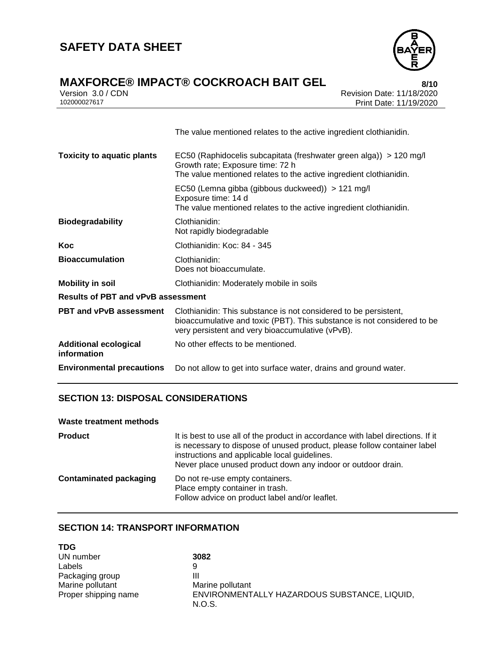

### **MAXFORCE® IMPACT® COCKROACH BAIT GEL 8/10**

|              | Version 3.0 / CDN |
|--------------|-------------------|
| 102000027617 |                   |

Version 3.0 / CDN Revision Date: 11/18/2020 Print Date: 11/19/2020

|                                             | The value mentioned relates to the active ingredient clothianidin.                                                                                                                              |  |  |
|---------------------------------------------|-------------------------------------------------------------------------------------------------------------------------------------------------------------------------------------------------|--|--|
| <b>Toxicity to aquatic plants</b>           | EC50 (Raphidocelis subcapitata (freshwater green alga)) > 120 mg/l<br>Growth rate; Exposure time: 72 h<br>The value mentioned relates to the active ingredient clothianidin.                    |  |  |
|                                             | EC50 (Lemna gibba (gibbous duckweed)) > 121 mg/l<br>Exposure time: 14 d<br>The value mentioned relates to the active ingredient clothianidin.                                                   |  |  |
| <b>Biodegradability</b>                     | Clothianidin:<br>Not rapidly biodegradable                                                                                                                                                      |  |  |
| Koc                                         | Clothianidin: Koc: 84 - 345                                                                                                                                                                     |  |  |
| <b>Bioaccumulation</b>                      | Clothianidin:<br>Does not bioaccumulate.                                                                                                                                                        |  |  |
| <b>Mobility in soil</b>                     | Clothianidin: Moderately mobile in soils                                                                                                                                                        |  |  |
| <b>Results of PBT and vPvB assessment</b>   |                                                                                                                                                                                                 |  |  |
| <b>PBT and vPvB assessment</b>              | Clothianidin: This substance is not considered to be persistent,<br>bioaccumulative and toxic (PBT). This substance is not considered to be<br>very persistent and very bioaccumulative (vPvB). |  |  |
| <b>Additional ecological</b><br>information | No other effects to be mentioned.                                                                                                                                                               |  |  |
| <b>Environmental precautions</b>            | Do not allow to get into surface water, drains and ground water.                                                                                                                                |  |  |
|                                             |                                                                                                                                                                                                 |  |  |

#### **SECTION 13: DISPOSAL CONSIDERATIONS**

| Waste treatment methods       |                                                                                                                                                                                                                                                                              |
|-------------------------------|------------------------------------------------------------------------------------------------------------------------------------------------------------------------------------------------------------------------------------------------------------------------------|
| <b>Product</b>                | It is best to use all of the product in accordance with label directions. If it<br>is necessary to dispose of unused product, please follow container label<br>instructions and applicable local guidelines.<br>Never place unused product down any indoor or outdoor drain. |
| <b>Contaminated packaging</b> | Do not re-use empty containers.<br>Place empty container in trash.<br>Follow advice on product label and/or leaflet.                                                                                                                                                         |

#### **SECTION 14: TRANSPORT INFORMATION**

| <b>TDG</b>           |                                              |
|----------------------|----------------------------------------------|
| UN number            | 3082                                         |
| Labels               | 9                                            |
| Packaging group      | Ш                                            |
| Marine pollutant     | Marine pollutant                             |
| Proper shipping name | ENVIRONMENTALLY HAZARDOUS SUBSTANCE, LIQUID, |
|                      | N.O.S.                                       |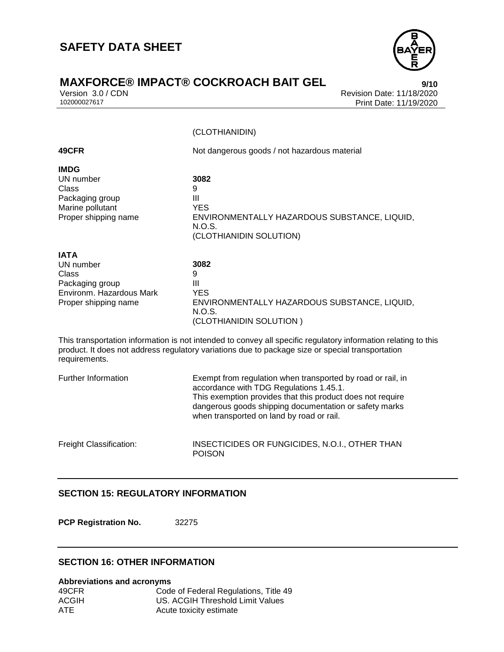

Version 3.0 / CDN<br>102000027617<br>Print Date: 11/19/2020 Print Date: 11/19/2020

(CLOTHIANIDIN)

| 49CFR                                                                                                    | Not dangerous goods / not hazardous material                                                                                                                                                                                                                                |  |
|----------------------------------------------------------------------------------------------------------|-----------------------------------------------------------------------------------------------------------------------------------------------------------------------------------------------------------------------------------------------------------------------------|--|
| <b>IMDG</b><br>UN number<br>Class<br>Packaging group<br>Marine pollutant<br>Proper shipping name         | 3082<br>9<br>Ш<br><b>YES</b><br>ENVIRONMENTALLY HAZARDOUS SUBSTANCE, LIQUID,<br>N.O.S.<br>(CLOTHIANIDIN SOLUTION)                                                                                                                                                           |  |
| <b>IATA</b><br>UN number<br>Class<br>Packaging group<br>Environm, Hazardous Mark<br>Proper shipping name | 3082<br>9<br>Ш<br><b>YES</b><br>ENVIRONMENTALLY HAZARDOUS SUBSTANCE, LIQUID,<br>N.O.S.<br>(CLOTHIANIDIN SOLUTION)                                                                                                                                                           |  |
| requirements.                                                                                            | This transportation information is not intended to convey all specific regulatory information relating to this<br>product. It does not address regulatory variations due to package size or special transportation                                                          |  |
| Further Information                                                                                      | Exempt from regulation when transported by road or rail, in<br>accordance with TDG Regulations 1.45.1.<br>This exemption provides that this product does not require<br>dangerous goods shipping documentation or safety marks<br>when transported on land by road or rail. |  |
| Freight Classification:                                                                                  | INSECTICIDES OR FUNGICIDES, N.O.I., OTHER THAN<br><b>POISON</b>                                                                                                                                                                                                             |  |

#### **SECTION 15: REGULATORY INFORMATION**

**PCP Registration No.** 32275

#### **SECTION 16: OTHER INFORMATION**

**Abbreviations and acronyms** 49CFR Code of Federal Regulations, Title 49<br>ACGIH US. ACGIH Threshold Limit Values US. ACGIH Threshold Limit Values ATE Acute toxicity estimate